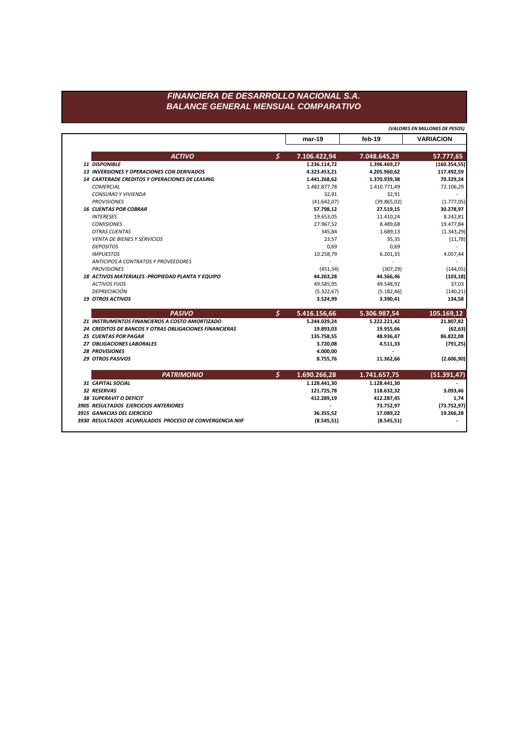**mar-19 feb-19 VARIACION** *ACTIVO \$* **7.106.422,94 7.048.645,29 57.777,65** *11 DISPONIBLE* **1.236.114,72 1.396.469,27 (160.354,55)** *13 INVERSIONES Y OPERACIONES CON DERIVADOS* **4.323.453,21 4.205.960,62 117.492,59** *14 CARTERADE CREDITOS Y OPERACIONES DE LEASING* **1.441.268,62 1.370.939,38 70.329,24** *COMERCIAL* 1.482.877,78 1.410.771,49 72.106,29 *CONSUMO Y VIVIENDA* 32,91 32,91 - *PROVISIONES* (41.642,07) (39.865,02) (1.777,05) *16 CUENTAS POR COBRAR* **57.798,12 27.519,15 30.278,97** *INTERESES* 19.653,05 11.410,24 8.242,81 *COMISIONES* 27.967,52 8.489,68 19.477,84 *OTRAS CUENTAS* 345,84 1.689,13 (1.343,29) *VENTA DE BIENES Y SERVICIOS* 23,57 35,35 (11,78) *DEPOSITOS* 0,69 0,69 - *IMPUESTOS* 10.258,79 6.201,35 4.057,44 *ANTICIPOS A CONTRATOS Y PROVEEDORES* - - - *PROVISIONES* (451,34) (307,29) (144,05) *18 ACTIVOS MATERIALES -PROPIEDAD PLANTA Y EQUIPO* **44.263,28 44.366,46 (103,18)** *ACTIVOS FIJOS* 49.585,95 49.548,92 37,03 *DEPRECIACIÓN* (5.322,67) (5.182,46) (140,21) *19 OTROS ACTIVOS* **3.524,99 3.390,41 134,58** *PASIVO \$* **5.416.156,66 5.306.987,54 105.169,12** *21 INSTRUMENTOS FINANCIEROS A COSTO AMORTIZADO* **5.244.029,24 5.222.221,42 21.807,82** 24 **CREDITOS DE BANCOS Y OTRAS OBLIGACIONES FINANCIERAS** 19.893,03 19.893,03 19.955,66 19.955,66 (62,63) *25 CUENTAS POR PAGAR* **135.758,55 48.936,47 86.822,08** *27 OBLIGACIONES LABORALES* **3.720,08 4.511,33 (791,25)** *28 PROVISIONES* **4.000,00 -** *29 OTROS PASIVOS* **8.755,76 11.362,66 (2.606,90)** *PATRIMONIO \$* **1.690.266,28 1.741.657,75 (51.391,47)** *31 CAPITAL SOCIAL* **1.128.441,30 1.128.441,30 -** *32 RESERVAS* **121.725,78 118.632,32 3.093,46** *38 SUPERAVIT O DEFICIT* **412.289,19 412.287,45 1,74** *3905 RESULTADOS EJERCICIOS ANTERIORES* **- 73.752,97 (73.752,97)** *3915 GANACIAS DEL EJERCICIO* **36.355,52 17.089,22 19.266,28** *3930 RESULTADOS ACUMULADOS PROCESO DE CONVERGENCIA NIIF* **(8.545,51) (8.545,51) -** *(VALORES EN MILLONES DE PESOS)*

## *FINANCIERA DE DESARROLLO NACIONAL S.A. BALANCE GENERAL MENSUAL COMPARATIVO*